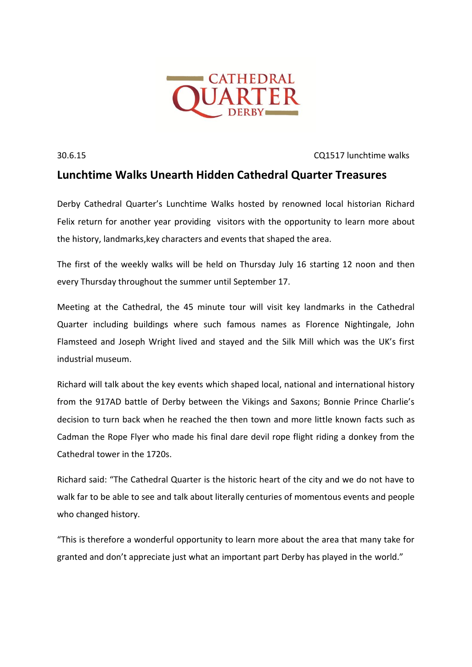

30.6.15 CQ1517 lunchtime walks

## **Lunchtime Walks Unearth Hidden Cathedral Quarter Treasures**

Derby Cathedral Quarter's Lunchtime Walks hosted by renowned local historian Richard Felix return for another year providing visitors with the opportunity to learn more about the history, landmarks,key characters and events that shaped the area.

The first of the weekly walks will be held on Thursday July 16 starting 12 noon and then every Thursday throughout the summer until September 17.

Meeting at the Cathedral, the 45 minute tour will visit key landmarks in the Cathedral Quarter including buildings where such famous names as Florence Nightingale, John Flamsteed and Joseph Wright lived and stayed and the Silk Mill which was the UK's first industrial museum.

Richard will talk about the key events which shaped local, national and international history from the 917AD battle of Derby between the Vikings and Saxons; Bonnie Prince Charlie's decision to turn back when he reached the then town and more little known facts such as Cadman the Rope Flyer who made his final dare devil rope flight riding a donkey from the Cathedral tower in the 1720s.

Richard said: "The Cathedral Quarter is the historic heart of the city and we do not have to walk far to be able to see and talk about literally centuries of momentous events and people who changed history.

"This is therefore a wonderful opportunity to learn more about the area that many take for granted and don't appreciate just what an important part Derby has played in the world."